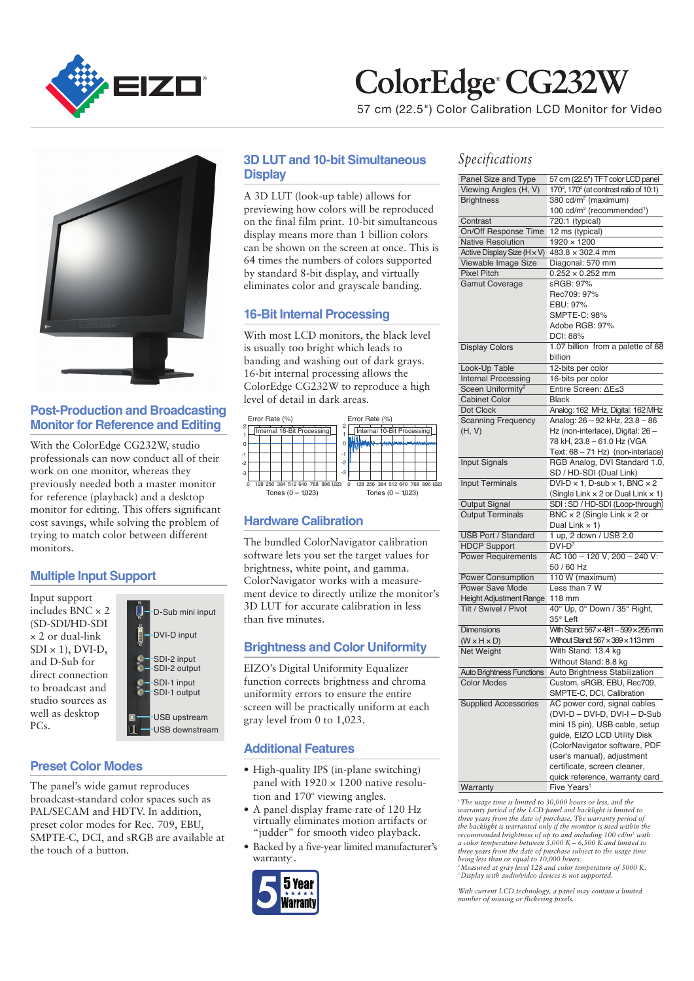

# ColorEdge CG232W

57 cm (22.5") Color Calibration LCD Monitor for Video



#### **Post-Production and Broadcasting Monitor for Reference and Editing**

With the ColorEdge CG232W, studio professionals can now conduct all of their work on one monitor, whereas they previously needed both a master monitor for reference (playback) and a desktop monitor for editing. This offers significant cost savings, while solving the problem of trying to match color between different monitors.

### **Multiple Input Support**

Input support includes BNC × 2 (SD-SDI/HD-SDI × 2 or dual-link  $SDI \times 1$ ,  $DVI-D$ , and D-Sub for direct connection to broadcast and studio sources as well as desktop PCs.

| D-Sub mini input                             |  |  |  |  |  |
|----------------------------------------------|--|--|--|--|--|
| DVI-D input                                  |  |  |  |  |  |
| SDI-2 input<br>SDI-2 output                  |  |  |  |  |  |
| SDI-1 input<br>SDI-1 output                  |  |  |  |  |  |
| <b>USB upstream</b><br><b>USB</b> downstream |  |  |  |  |  |

#### **Preset Color Modes**

The panel's wide gamut reproduces broadcast-standard color spaces such as PAL/SECAM and HDTV. In addition, preset color modes for Rec. 709, EBU, SMPTE-C, DCI, and sRGB are available at the touch of a button.

#### **3D LUT and 10-bit Simultaneous Display**

A 3D LUT (look-up table) allows for previewing how colors will be reproduced on the final film print. 10-bit simultaneous display means more than 1 billion colors can be shown on the screen at once. This is 64 times the numbers of colors supported by standard 8-bit display, and virtually eliminates color and grayscale banding.

#### **16-Bit Internal Processing**

With most LCD monitors, the black level is usually too bright which leads to banding and washing out of dark grays. 16-bit internal processing allows the ColorEdge CG232W to reproduce a high level of detail in dark areas.



#### **Hardware Calibration**

The bundled ColorNavigator calibration software lets you set the target values for brightness, white point, and gamma. ColorNavigator works with a measurement device to directly utilize the monitor's 3D LUT for accurate calibration in less than five minutes.

#### **Brightness and Color Uniformity**

EIZO's Digital Uniformity Equalizer function corrects brightness and chroma uniformity errors to ensure the entire screen will be practically uniform at each gray level from 0 to 1,023.

#### **Additional Features**

- High-quality IPS (in-plane switching) panel with  $1920 \times 1200$  native resolution and 170° viewing angles.
- A panel display frame rate of 120 Hz virtually eliminates motion artifacts or "judder" for smooth video playback.
- Backed by a five-year limited manufacturer's warranty*<sup>1</sup>* .



#### *Specifications*

| Panel Size and Type              | 57 cm (22.5") TFT color LCD panel                    |  |  |  |  |
|----------------------------------|------------------------------------------------------|--|--|--|--|
| Viewing Angles (H, V)            | 170°, 170° (at contrast ratio of 10:1)               |  |  |  |  |
| <b>Brightness</b>                | 380 cd/m <sup>2</sup> (maximum)                      |  |  |  |  |
|                                  | 100 cd/m <sup>2</sup> (recommended <sup>1</sup> )    |  |  |  |  |
| Contrast                         | 720:1 (typical)                                      |  |  |  |  |
| On/Off Response Time             | 12 ms (typical)                                      |  |  |  |  |
| <b>Native Resolution</b>         | $1920 \times 1200$                                   |  |  |  |  |
| Active Display Size (H x V)      | 483.8 × 302.4 mm                                     |  |  |  |  |
| Viewable Image Size              | Diagonal: 570 mm                                     |  |  |  |  |
| <b>Pixel Pitch</b>               | $0.252 \times 0.252$ mm                              |  |  |  |  |
| <b>Gamut Coverage</b>            | sRGB: 97%                                            |  |  |  |  |
|                                  | Rec709: 97%                                          |  |  |  |  |
|                                  | EBU: 97%                                             |  |  |  |  |
|                                  | SMPTE-C: 98%                                         |  |  |  |  |
|                                  | Adobe RGB: 97%                                       |  |  |  |  |
|                                  | DCI: 88%                                             |  |  |  |  |
| <b>Display Colors</b>            | 1.07 billion from a palette of 68                    |  |  |  |  |
|                                  | billion                                              |  |  |  |  |
| Look-Up Table                    | 12-bits per color                                    |  |  |  |  |
| <b>Internal Processing</b>       | 16-bits per color                                    |  |  |  |  |
| Sceen Uniformity <sup>2</sup>    | Entire Screen: ∆E≤3                                  |  |  |  |  |
| <b>Cabinet Color</b>             | <b>Black</b>                                         |  |  |  |  |
| Dot Clock                        | Analog: 162 MHz, Digital: 162 MHz                    |  |  |  |  |
| <b>Scanning Frequency</b>        | Analog: 26 - 92 kHz, 23.8 - 86                       |  |  |  |  |
| (H, V)                           | Hz (non-interlace), Digital: 26 -                    |  |  |  |  |
|                                  | 78 kH, 23.8 - 61.0 Hz (VGA                           |  |  |  |  |
|                                  | Text: 68 - 71 Hz) (non-interlace)                    |  |  |  |  |
| <b>Input Signals</b>             | RGB Analog, DVI Standard 1.0,                        |  |  |  |  |
|                                  | SD / HD-SDI (Dual Link)                              |  |  |  |  |
| <b>Input Terminals</b>           | $DVI-D \times 1$ , D-sub $\times 1$ , BNC $\times 2$ |  |  |  |  |
|                                  | (Single Link $\times$ 2 or Dual Link $\times$ 1)     |  |  |  |  |
| <b>Output Signal</b>             | SDI: SD / HD-SDI (Loop-through)                      |  |  |  |  |
| <b>Output Terminals</b>          | BNC $\times$ 2 (Single Link $\times$ 2 or            |  |  |  |  |
|                                  | Dual Link $\times$ 1)                                |  |  |  |  |
| USB Port / Standard              | 1 up, 2 down / USB 2.0                               |  |  |  |  |
| <b>HDCP Support</b>              | $DVI-D3$                                             |  |  |  |  |
| <b>Power Requirements</b>        | AC 100 - 120 V, 200 - 240 V:                         |  |  |  |  |
|                                  | 50 / 60 Hz                                           |  |  |  |  |
| <b>Power Consumption</b>         | 110 W (maximum)                                      |  |  |  |  |
| <b>Power Save Mode</b>           | Less than 7 W                                        |  |  |  |  |
| <b>Height Adjustment Range</b>   | 118 mm                                               |  |  |  |  |
| Tilt / Swivel / Pivot            | 40° Up, 0° Down / 35° Right,                         |  |  |  |  |
|                                  | 35° Left                                             |  |  |  |  |
| <b>Dimensions</b>                | With Stand: 567 x 481 - 599 x 255 mm                 |  |  |  |  |
| $(W \times H \times D)$          | Without Stand: $567 \times 389 \times 113$ mm        |  |  |  |  |
| Net Weight                       | With Stand: 13.4 kg                                  |  |  |  |  |
|                                  | Without Stand: 8.8 kg                                |  |  |  |  |
| <b>Auto Brightness Functions</b> | Auto Brightness Stabilization                        |  |  |  |  |
| <b>Color Modes</b>               | Custom, sRGB, EBU, Rec709,                           |  |  |  |  |
|                                  | SMPTE-C, DCI, Calibration                            |  |  |  |  |
| <b>Supplied Accessories</b>      | AC power cord, signal cables                         |  |  |  |  |
|                                  | (DVI-D - DVI-D, DVI-I - D-Sub                        |  |  |  |  |
|                                  | mini 15 pin), USB cable, setup                       |  |  |  |  |
|                                  | guide, EIZO LCD Utility Disk                         |  |  |  |  |
|                                  | (ColorNavigator software, PDF                        |  |  |  |  |
|                                  | user's manual), adjustment                           |  |  |  |  |
|                                  | certificate, screen cleaner,                         |  |  |  |  |
|                                  | quick reference, warranty card                       |  |  |  |  |
| Warranty                         | Five Years <sup>1</sup>                              |  |  |  |  |
|                                  |                                                      |  |  |  |  |

*1 The usage time is limited to 30,000 hours or less, and the*  warranty period of the LCD panel and backlight is limited to<br>three years from the date of purchase. The warranty period of<br>the backlight is warranted only if the monitor is used within the<br>recommended brightness of up to a *a color temperature between 5,000 K – 6,500 K and limited to three years from the date of purchase subject to the usage time being less than or equal to 10,000 hours. 2 Measured at gray level 128 and color temperature of 5000 K. 3 Display with audio/video devices is not supported.* 

*With current LCD technology, a panel may contain a limited number of missing or flickering pixels.*